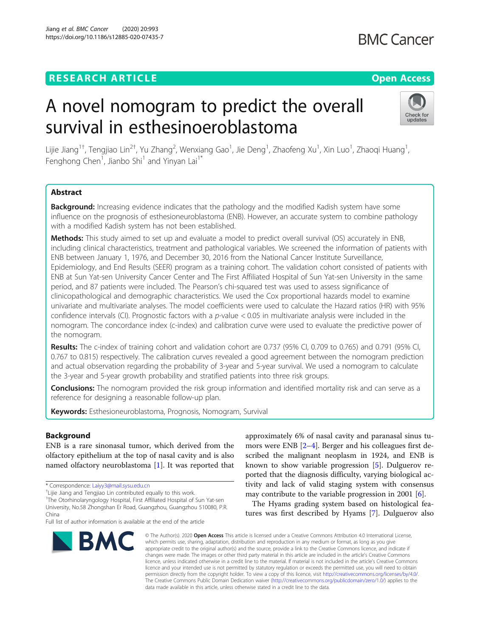### **RESEARCH ARTICLE Example 2014 12:30 The Contract of Contract ACCESS**

# **BMC Cancer**

# A novel nomogram to predict the overall survival in esthesinoeroblastoma



Lijie Jiang<sup>1†</sup>, Tengjiao Lin<sup>2†</sup>, Yu Zhang<sup>2</sup>, Wenxiang Gao<sup>1</sup>, Jie Deng<sup>1</sup>, Zhaofeng Xu<sup>1</sup>, Xin Luo<sup>1</sup>, Zhaoqi Huang<sup>1</sup> , Fenghong Chen<sup>1</sup>, Jianbo Shi<sup>1</sup> and Yinyan Lai<sup>1\*</sup>

### Abstract

Background: Increasing evidence indicates that the pathology and the modified Kadish system have some influence on the prognosis of esthesioneuroblastoma (ENB). However, an accurate system to combine pathology with a modified Kadish system has not been established.

Methods: This study aimed to set up and evaluate a model to predict overall survival (OS) accurately in ENB, including clinical characteristics, treatment and pathological variables. We screened the information of patients with ENB between January 1, 1976, and December 30, 2016 from the National Cancer Institute Surveillance, Epidemiology, and End Results (SEER) program as a training cohort. The validation cohort consisted of patients with ENB at Sun Yat-sen University Cancer Center and The First Affiliated Hospital of Sun Yat-sen University in the same period, and 87 patients were included. The Pearson's chi-squared test was used to assess significance of clinicopathological and demographic characteristics. We used the Cox proportional hazards model to examine univariate and multivariate analyses. The model coefficients were used to calculate the Hazard ratios (HR) with 95% confidence intervals (CI). Prognostic factors with a p-value < 0.05 in multivariate analysis were included in the nomogram. The concordance index (c-index) and calibration curve were used to evaluate the predictive power of the nomogram.

Results: The c-index of training cohort and validation cohort are 0.737 (95% CI, 0.709 to 0.765) and 0.791 (95% CI, 0.767 to 0.815) respectively. The calibration curves revealed a good agreement between the nomogram prediction and actual observation regarding the probability of 3-year and 5-year survival. We used a nomogram to calculate the 3-year and 5-year growth probability and stratified patients into three risk groups.

**Conclusions:** The nomogram provided the risk group information and identified mortality risk and can serve as a reference for designing a reasonable follow-up plan.

Keywords: Esthesioneuroblastoma, Prognosis, Nomogram, Survival

#### Background

ENB is a rare sinonasal tumor, which derived from the olfactory epithelium at the top of nasal cavity and is also named olfactory neuroblastoma [\[1](#page-8-0)]. It was reported that

Full list of author information is available at the end of the article



approximately 6% of nasal cavity and paranasal sinus tu-mors were ENB [[2](#page-8-0)–[4](#page-8-0)]. Berger and his colleagues first described the malignant neoplasm in 1924, and ENB is known to show variable progression [\[5](#page-8-0)]. Dulguerov reported that the diagnosis difficulty, varying biological activity and lack of valid staging system with consensus may contribute to the variable progression in 2001 [[6](#page-8-0)].

The Hyams grading system based on histological features was first described by Hyams [\[7](#page-8-0)]. Dulguerov also

© The Author(s), 2020 **Open Access** This article is licensed under a Creative Commons Attribution 4.0 International License, which permits use, sharing, adaptation, distribution and reproduction in any medium or format, as long as you give appropriate credit to the original author(s) and the source, provide a link to the Creative Commons licence, and indicate if changes were made. The images or other third party material in this article are included in the article's Creative Commons licence, unless indicated otherwise in a credit line to the material. If material is not included in the article's Creative Commons licence and your intended use is not permitted by statutory regulation or exceeds the permitted use, you will need to obtain permission directly from the copyright holder. To view a copy of this licence, visit [http://creativecommons.org/licenses/by/4.0/.](http://creativecommons.org/licenses/by/4.0/) The Creative Commons Public Domain Dedication waiver [\(http://creativecommons.org/publicdomain/zero/1.0/](http://creativecommons.org/publicdomain/zero/1.0/)) applies to the data made available in this article, unless otherwise stated in a credit line to the data.

<sup>\*</sup> Correspondence: [Laiyy3@mail.sysu.edu.cn](mailto:Laiyy3@mail.sysu.edu.cn) †

 $^{\dagger}$ Lijie Jiang and Tengjiao Lin contributed equally to this work.

<sup>&</sup>lt;sup>1</sup>The Otorhinolaryngology Hospital, First Affiliated Hospital of Sun Yat-sen University, No.58 Zhongshan Er Road, Guangzhou, Guangzhou 510080, P.R. China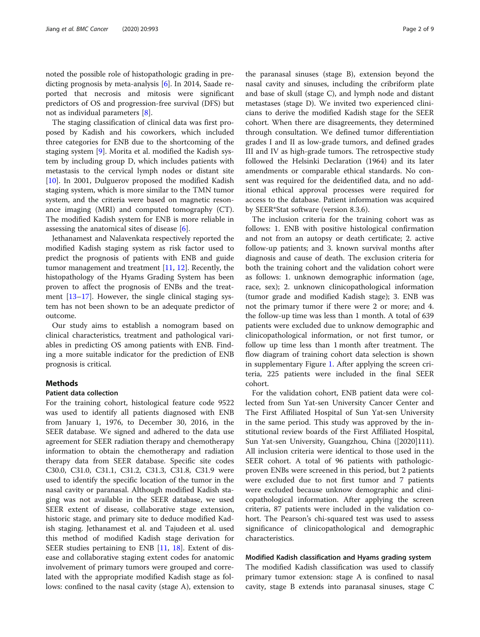noted the possible role of histopathologic grading in predicting prognosis by meta-analysis [\[6](#page-8-0)]. In 2014, Saade reported that necrosis and mitosis were significant predictors of OS and progression-free survival (DFS) but not as individual parameters [\[8](#page-8-0)].

The staging classification of clinical data was first proposed by Kadish and his coworkers, which included three categories for ENB due to the shortcoming of the staging system [\[9](#page-8-0)]. Morita et al. modified the Kadish system by including group D, which includes patients with metastasis to the cervical lymph nodes or distant site [[10\]](#page-8-0). In 2001, Dulguerov proposed the modified Kadish staging system, which is more similar to the TMN tumor system, and the criteria were based on magnetic resonance imaging (MRI) and computed tomography (CT). The modified Kadish system for ENB is more reliable in assessing the anatomical sites of disease [[6\]](#page-8-0).

Jethanamest and Nalavenkata respectively reported the modified Kadish staging system as risk factor used to predict the prognosis of patients with ENB and guide tumor management and treatment [[11,](#page-8-0) [12\]](#page-8-0). Recently, the histopathology of the Hyams Grading System has been proven to affect the prognosis of ENBs and the treatment [\[13](#page-8-0)–[17\]](#page-8-0). However, the single clinical staging system has not been shown to be an adequate predictor of outcome.

Our study aims to establish a nomogram based on clinical characteristics, treatment and pathological variables in predicting OS among patients with ENB. Finding a more suitable indicator for the prediction of ENB prognosis is critical.

#### **Methods**

#### Patient data collection

For the training cohort, histological feature code 9522 was used to identify all patients diagnosed with ENB from January 1, 1976, to December 30, 2016, in the SEER database. We signed and adhered to the data use agreement for SEER radiation therapy and chemotherapy information to obtain the chemotherapy and radiation therapy data from SEER database. Specific site codes C30.0, C31.0, C31.1, C31.2, C31.3, C31.8, C31.9 were used to identify the specific location of the tumor in the nasal cavity or paranasal. Although modified Kadish staging was not available in the SEER database, we used SEER extent of disease, collaborative stage extension, historic stage, and primary site to deduce modified Kadish staging. Jethanamest et al. and Tajudeen et al. used this method of modified Kadish stage derivation for SEER studies pertaining to ENB [\[11](#page-8-0), [18\]](#page-8-0). Extent of disease and collaborative staging extent codes for anatomic involvement of primary tumors were grouped and correlated with the appropriate modified Kadish stage as follows: confined to the nasal cavity (stage A), extension to

the paranasal sinuses (stage B), extension beyond the nasal cavity and sinuses, including the cribriform plate and base of skull (stage C), and lymph node and distant metastases (stage D). We invited two experienced clinicians to derive the modified Kadish stage for the SEER cohort. When there are disagreements, they determined through consultation. We defined tumor differentiation grades I and II as low-grade tumors, and defined grades III and IV as high-grade tumors. The retrospective study followed the Helsinki Declaration (1964) and its later amendments or comparable ethical standards. No consent was required for the deidentified data, and no additional ethical approval processes were required for access to the database. Patient information was acquired by SEER\*Stat software (version 8.3.6).

The inclusion criteria for the training cohort was as follows: 1. ENB with positive histological confirmation and not from an autopsy or death certificate; 2. active follow-up patients; and 3. known survival months after diagnosis and cause of death. The exclusion criteria for both the training cohort and the validation cohort were as follows: 1. unknown demographic information (age, race, sex); 2. unknown clinicopathological information (tumor grade and modified Kadish stage); 3. ENB was not the primary tumor if there were 2 or more; and 4. the follow-up time was less than 1 month. A total of 639 patients were excluded due to unknow demographic and clinicopathological information, or not first tumor, or follow up time less than 1 month after treatment. The flow diagram of training cohort data selection is shown in supplementary Figure [1.](#page-7-0) After applying the screen criteria, 225 patients were included in the final SEER cohort.

For the validation cohort, ENB patient data were collected from Sun Yat-sen University Cancer Center and The First Affiliated Hospital of Sun Yat-sen University in the same period. This study was approved by the institutional review boards of the First Affiliated Hospital, Sun Yat-sen University, Guangzhou, China ([2020]111). All inclusion criteria were identical to those used in the SEER cohort. A total of 96 patients with pathologicproven ENBs were screened in this period, but 2 patients were excluded due to not first tumor and 7 patients were excluded because unknow demographic and clinicopathological information. After applying the screen criteria, 87 patients were included in the validation cohort. The Pearson's chi-squared test was used to assess significance of clinicopathological and demographic characteristics.

#### Modified Kadish classification and Hyams grading system The modified Kadish classification was used to classify primary tumor extension: stage A is confined to nasal cavity, stage B extends into paranasal sinuses, stage C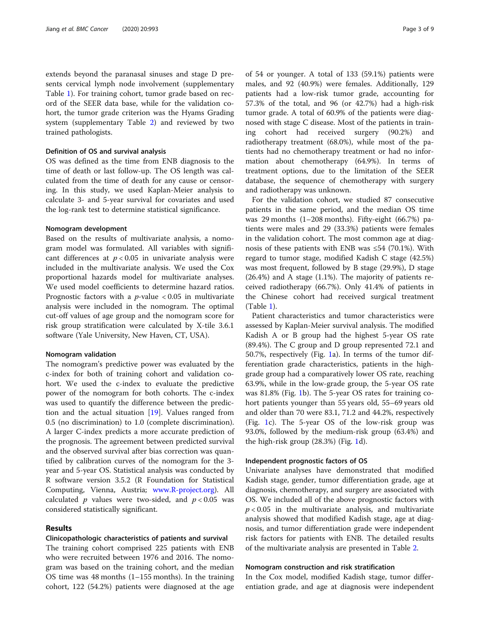extends beyond the paranasal sinuses and stage D presents cervical lymph node involvement (supplementary Table [1\)](#page-7-0). For training cohort, tumor grade based on record of the SEER data base, while for the validation cohort, the tumor grade criterion was the Hyams Grading system (supplementary Table [2](#page-7-0)) and reviewed by two trained pathologists.

#### Definition of OS and survival analysis

OS was defined as the time from ENB diagnosis to the time of death or last follow-up. The OS length was calculated from the time of death for any cause or censoring. In this study, we used Kaplan-Meier analysis to calculate 3- and 5-year survival for covariates and used the log-rank test to determine statistical significance.

#### Nomogram development

Based on the results of multivariate analysis, a nomogram model was formulated. All variables with significant differences at  $p < 0.05$  in univariate analysis were included in the multivariate analysis. We used the Cox proportional hazards model for multivariate analyses. We used model coefficients to determine hazard ratios. Prognostic factors with a  $p$ -value < 0.05 in multivariate analysis were included in the nomogram. The optimal cut-off values of age group and the nomogram score for risk group stratification were calculated by X-tile 3.6.1 software (Yale University, New Haven, CT, USA).

#### Nomogram validation

The nomogram's predictive power was evaluated by the c-index for both of training cohort and validation cohort. We used the c-index to evaluate the predictive power of the nomogram for both cohorts. The c-index was used to quantify the difference between the prediction and the actual situation [[19\]](#page-8-0). Values ranged from 0.5 (no discrimination) to 1.0 (complete discrimination). A larger C-index predicts a more accurate prediction of the prognosis. The agreement between predicted survival and the observed survival after bias correction was quantified by calibration curves of the nomogram for the 3 year and 5-year OS. Statistical analysis was conducted by R software version 3.5.2 (R Foundation for Statistical Computing, Vienna, Austria; [www.R-project.org](http://www.r-project.org)). All calculated  $p$  values were two-sided, and  $p < 0.05$  was considered statistically significant.

#### Results

#### Clinicopathologic characteristics of patients and survival

The training cohort comprised 225 patients with ENB who were recruited between 1976 and 2016. The nomogram was based on the training cohort, and the median OS time was 48 months (1–155 months). In the training cohort, 122 (54.2%) patients were diagnosed at the age of 54 or younger. A total of 133 (59.1%) patients were males, and 92 (40.9%) were females. Additionally, 129 patients had a low-risk tumor grade, accounting for 57.3% of the total, and 96 (or 42.7%) had a high-risk tumor grade. A total of 60.9% of the patients were diagnosed with stage C disease. Most of the patients in training cohort had received surgery (90.2%) and radiotherapy treatment (68.0%), while most of the patients had no chemotherapy treatment or had no information about chemotherapy (64.9%). In terms of treatment options, due to the limitation of the SEER database, the sequence of chemotherapy with surgery and radiotherapy was unknown.

For the validation cohort, we studied 87 consecutive patients in the same period, and the median OS time was 29 months (1–208 months). Fifty-eight (66.7%) patients were males and 29 (33.3%) patients were females in the validation cohort. The most common age at diagnosis of these patients with ENB was  $\leq 54$  (70.1%). With regard to tumor stage, modified Kadish C stage (42.5%) was most frequent, followed by B stage (29.9%), D stage (26.4%) and A stage (1.1%). The majority of patients received radiotherapy (66.7%). Only 41.4% of patients in the Chinese cohort had received surgical treatment (Table [1\)](#page-3-0).

Patient characteristics and tumor characteristics were assessed by Kaplan-Meier survival analysis. The modified Kadish A or B group had the highest 5-year OS rate (89.4%). The C group and D group represented 72.1 and 50.7%, respectively (Fig. [1a](#page-4-0)). In terms of the tumor differentiation grade characteristics, patients in the highgrade group had a comparatively lower OS rate, reaching 63.9%, while in the low-grade group, the 5-year OS rate was 81.8% (Fig. [1b](#page-4-0)). The 5-year OS rates for training cohort patients younger than 55 years old, 55–69 years old and older than 70 were 83.1, 71.2 and 44.2%, respectively (Fig. [1](#page-4-0)c). The 5-year OS of the low-risk group was 93.0%, followed by the medium-risk group (63.4%) and the high-risk group (28.3%) (Fig. [1](#page-4-0)d).

#### Independent prognostic factors of OS

Univariate analyses have demonstrated that modified Kadish stage, gender, tumor differentiation grade, age at diagnosis, chemotherapy, and surgery are associated with OS. We included all of the above prognostic factors with  $p < 0.05$  in the multivariate analysis, and multivariate analysis showed that modified Kadish stage, age at diagnosis, and tumor differentiation grade were independent risk factors for patients with ENB. The detailed results of the multivariate analysis are presented in Table [2](#page-5-0).

#### Nomogram construction and risk stratification

In the Cox model, modified Kadish stage, tumor differentiation grade, and age at diagnosis were independent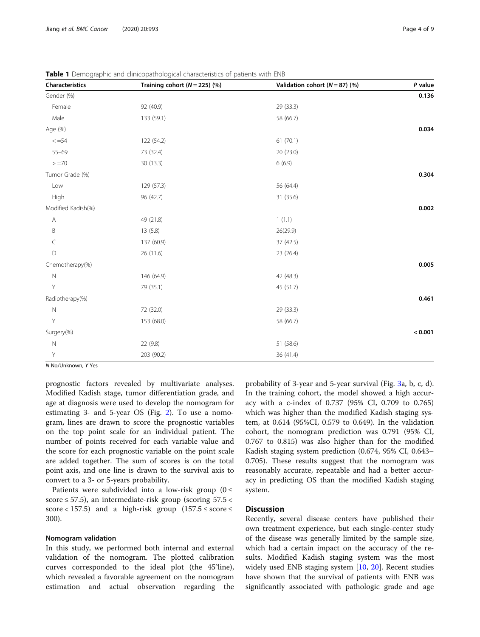| Characteristics    | Training cohort $(N = 225)$ (%) | Validation cohort ( $N = 87$ ) (%) | $P$ value |
|--------------------|---------------------------------|------------------------------------|-----------|
| Gender (%)         |                                 |                                    | 0.136     |
| Female             | 92 (40.9)                       | 29 (33.3)                          |           |
| Male               | 133 (59.1)                      | 58 (66.7)                          |           |
| Age (%)            |                                 |                                    | 0.034     |
| $\leq$ =54         | 122 (54.2)                      | 61(70.1)                           |           |
| $55 - 69$          | 73 (32.4)                       | 20 (23.0)                          |           |
| $> = 70$           | 30 (13.3)                       | 6(6.9)                             |           |
| Tumor Grade (%)    |                                 |                                    | 0.304     |
| Low                | 129 (57.3)                      | 56 (64.4)                          |           |
| High               | 96 (42.7)                       | 31 (35.6)                          |           |
| Modified Kadish(%) |                                 |                                    | 0.002     |
| Α                  | 49 (21.8)                       | 1(1.1)                             |           |
| B                  | 13(5.8)                         | 26(29.9)                           |           |
| C                  | 137 (60.9)                      | 37 (42.5)                          |           |
| D                  | 26 (11.6)                       | 23 (26.4)                          |           |
| Chemotherapy(%)    |                                 |                                    | 0.005     |
| $\mathbb N$        | 146 (64.9)                      | 42 (48.3)                          |           |
| Y                  | 79 (35.1)                       | 45 (51.7)                          |           |
| Radiotherapy(%)    |                                 |                                    | 0.461     |
| $\mathbb N$        | 72 (32.0)                       | 29 (33.3)                          |           |
| Y                  | 153 (68.0)                      | 58 (66.7)                          |           |
| Surgery(%)         |                                 |                                    | < 0.001   |
| $\hbox{N}$         | 22 (9.8)                        | 51 (58.6)                          |           |
| Υ                  | 203 (90.2)                      | 36 (41.4)                          |           |

<span id="page-3-0"></span>Table 1 Demographic and clinicopathological characteristics of patients with ENB

N No/Unknown, Y Yes

prognostic factors revealed by multivariate analyses. Modified Kadish stage, tumor differentiation grade, and age at diagnosis were used to develop the nomogram for estimating 3- and 5-year OS (Fig. [2](#page-6-0)). To use a nomogram, lines are drawn to score the prognostic variables on the top point scale for an individual patient. The number of points received for each variable value and the score for each prognostic variable on the point scale are added together. The sum of scores is on the total point axis, and one line is drawn to the survival axis to convert to a 3- or 5-years probability.

Patients were subdivided into a low-risk group ( $0 \le$ score ≤ 57.5), an intermediate-risk group (scoring 57.5 < score < 157.5) and a high-risk group  $(157.5 \leq \text{score} \leq$ 300).

#### Nomogram validation

In this study, we performed both internal and external validation of the nomogram. The plotted calibration curves corresponded to the ideal plot (the 45°line), which revealed a favorable agreement on the nomogram estimation and actual observation regarding the

probability of 3-year and 5-year survival (Fig. [3](#page-7-0)a, b, c, d). In the training cohort, the model showed a high accuracy with a c-index of 0.737 (95% CI, 0.709 to 0.765) which was higher than the modified Kadish staging system, at 0.614 (95%CI, 0.579 to 0.649). In the validation cohort, the nomogram prediction was 0.791 (95% CI, 0.767 to 0.815) was also higher than for the modified Kadish staging system prediction (0.674, 95% CI, 0.643– 0.705). These results suggest that the nomogram was reasonably accurate, repeatable and had a better accuracy in predicting OS than the modified Kadish staging system.

#### **Discussion**

Recently, several disease centers have published their own treatment experience, but each single-center study of the disease was generally limited by the sample size, which had a certain impact on the accuracy of the results. Modified Kadish staging system was the most widely used ENB staging system [\[10,](#page-8-0) [20](#page-8-0)]. Recent studies have shown that the survival of patients with ENB was significantly associated with pathologic grade and age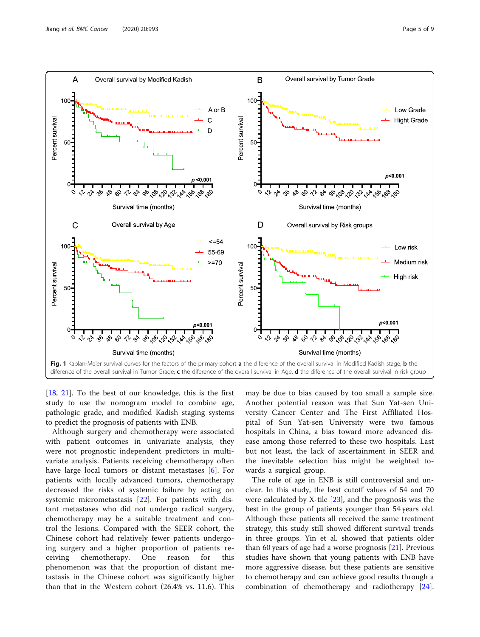<span id="page-4-0"></span>

[[18,](#page-8-0) [21\]](#page-8-0). To the best of our knowledge, this is the first study to use the nomogram model to combine age, pathologic grade, and modified Kadish staging systems to predict the prognosis of patients with ENB.

Although surgery and chemotherapy were associated with patient outcomes in univariate analysis, they were not prognostic independent predictors in multivariate analysis. Patients receiving chemotherapy often have large local tumors or distant metastases [\[6](#page-8-0)]. For patients with locally advanced tumors, chemotherapy decreased the risks of systemic failure by acting on systemic micrometastasis [[22\]](#page-8-0). For patients with distant metastases who did not undergo radical surgery, chemotherapy may be a suitable treatment and control the lesions. Compared with the SEER cohort, the Chinese cohort had relatively fewer patients undergoing surgery and a higher proportion of patients receiving chemotherapy. One reason for this phenomenon was that the proportion of distant metastasis in the Chinese cohort was significantly higher than that in the Western cohort (26.4% vs. 11.6). This

may be due to bias caused by too small a sample size. Another potential reason was that Sun Yat-sen University Cancer Center and The First Affiliated Hospital of Sun Yat-sen University were two famous hospitals in China, a bias toward more advanced disease among those referred to these two hospitals. Last but not least, the lack of ascertainment in SEER and the inevitable selection bias might be weighted towards a surgical group.

The role of age in ENB is still controversial and unclear. In this study, the best cutoff values of 54 and 70 were calculated by X-tile  $[23]$  $[23]$ , and the prognosis was the best in the group of patients younger than 54 years old. Although these patients all received the same treatment strategy, this study still showed different survival trends in three groups. Yin et al. showed that patients older than 60 years of age had a worse prognosis [[21](#page-8-0)]. Previous studies have shown that young patients with ENB have more aggressive disease, but these patients are sensitive to chemotherapy and can achieve good results through a combination of chemotherapy and radiotherapy [\[24](#page-8-0)].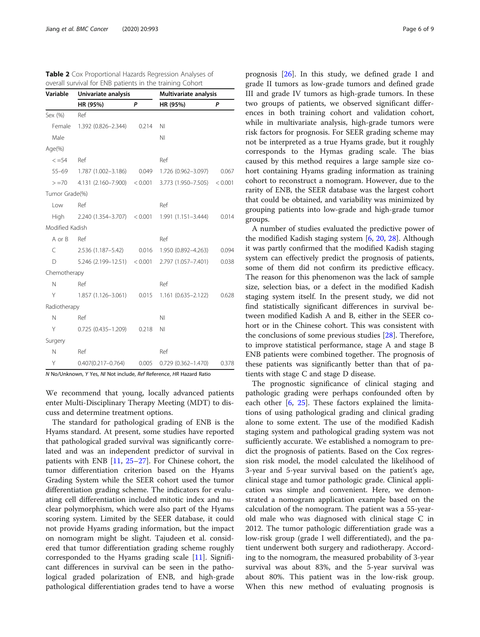<span id="page-5-0"></span>Table 2 Cox Proportional Hazards Regression Analyses of overall survival for ENB patients in the training Cohort

| Variable        | Univariate analysis             |       | Multivariate analysis         |       |
|-----------------|---------------------------------|-------|-------------------------------|-------|
|                 | HR (95%)                        | P     | HR (95%)                      | P     |
| Sex (%)         | Ref                             |       |                               |       |
| Female          | 1.392 (0.826-2.344)             | 0.214 | N <sub>l</sub>                |       |
| Male            |                                 |       | NI                            |       |
| Age(%)          |                                 |       |                               |       |
| $\leq$ =54      | Ref                             |       | Ref                           |       |
| $55 - 69$       | 1.787 (1.002-3.186)             | 0.049 | 1.726 (0.962-3.097)           | 0.067 |
| $> = 70$        | $4.131 (2.160 - 7.900) < 0.001$ |       | $3.773$ (1.950-7.505) < 0.001 |       |
| Tumor Grade(%)  |                                 |       |                               |       |
| Low             | Ref                             |       | Ref                           |       |
| High            | $2.240(1.354-3.707) < 0.001$    |       | 1.991 (1.151-3.444)           | 0.014 |
| Modified Kadish |                                 |       |                               |       |
| A or B          | Ref                             |       | Ref                           |       |
| $\subset$       | 2.536 (1.187-5.42)              | 0.016 | 1.950 (0.892-4.263)           | 0.094 |
| D               | $5.246$ (2.199-12.51) $< 0.001$ |       | 2.797 (1.057-7.401)           | 0.038 |
| Chemotherapy    |                                 |       |                               |       |
| N               | Ref                             |       | Ref                           |       |
| Υ               | $1.857(1.126 - 3.061)$ 0.015    |       | 1.161 (0.635-2.122)           | 0.628 |
| Radiotherapy    |                                 |       |                               |       |
| N               | Ref                             |       | N <sub>l</sub>                |       |
| Υ               | 0.725 (0.435-1.209)             | 0.218 | NI                            |       |
| Surgery         |                                 |       |                               |       |
| N               | Ref                             |       | Ref                           |       |
| Υ               | $0.407(0.217 - 0.764)$          | 0.005 | $0.729$ $(0.362 - 1.470)$     | 0.378 |

N No/Unknown, Y Yes, NI Not include, Ref Reference, HR Hazard Ratio

We recommend that young, locally advanced patients enter Multi-Disciplinary Therapy Meeting (MDT) to discuss and determine treatment options.

The standard for pathological grading of ENB is the Hyams standard. At present, some studies have reported that pathological graded survival was significantly correlated and was an independent predictor of survival in patients with ENB [\[11](#page-8-0), [25](#page-8-0)–[27\]](#page-8-0). For Chinese cohort, the tumor differentiation criterion based on the Hyams Grading System while the SEER cohort used the tumor differentiation grading scheme. The indicators for evaluating cell differentiation included mitotic index and nuclear polymorphism, which were also part of the Hyams scoring system. Limited by the SEER database, it could not provide Hyams grading information, but the impact on nomogram might be slight. Tajudeen et al. considered that tumor differentiation grading scheme roughly corresponded to the Hyams grading scale [[11\]](#page-8-0). Significant differences in survival can be seen in the pathological graded polarization of ENB, and high-grade pathological differentiation grades tend to have a worse

prognosis [\[26](#page-8-0)]. In this study, we defined grade I and grade II tumors as low-grade tumors and defined grade III and grade IV tumors as high-grade tumors. In these two groups of patients, we observed significant differences in both training cohort and validation cohort, while in multivariate analysis, high-grade tumors were risk factors for prognosis. For SEER grading scheme may not be interpreted as a true Hyams grade, but it roughly corresponds to the Hymas grading scale. The bias caused by this method requires a large sample size cohort containing Hyams grading information as training cohort to reconstruct a nomogram. However, due to the rarity of ENB, the SEER database was the largest cohort that could be obtained, and variability was minimized by grouping patients into low-grade and high-grade tumor groups.

A number of studies evaluated the predictive power of the modified Kadish staging system [[6,](#page-8-0) [20,](#page-8-0) [28\]](#page-8-0). Although it was partly confirmed that the modified Kadish staging system can effectively predict the prognosis of patients, some of them did not confirm its predictive efficacy. The reason for this phenomenon was the lack of sample size, selection bias, or a defect in the modified Kadish staging system itself. In the present study, we did not find statistically significant differences in survival between modified Kadish A and B, either in the SEER cohort or in the Chinese cohort. This was consistent with the conclusions of some previous studies [\[28\]](#page-8-0). Therefore, to improve statistical performance, stage A and stage B ENB patients were combined together. The prognosis of these patients was significantly better than that of patients with stage C and stage D disease.

The prognostic significance of clinical staging and pathologic grading were perhaps confounded often by each other  $[6, 25]$  $[6, 25]$  $[6, 25]$  $[6, 25]$  $[6, 25]$ . These factors explained the limitations of using pathological grading and clinical grading alone to some extent. The use of the modified Kadish staging system and pathological grading system was not sufficiently accurate. We established a nomogram to predict the prognosis of patients. Based on the Cox regression risk model, the model calculated the likelihood of 3-year and 5-year survival based on the patient's age, clinical stage and tumor pathologic grade. Clinical application was simple and convenient. Here, we demonstrated a nomogram application example based on the calculation of the nomogram. The patient was a 55-yearold male who was diagnosed with clinical stage C in 2012. The tumor pathologic differentiation grade was a low-risk group (grade I well differentiated), and the patient underwent both surgery and radiotherapy. According to the nomogram, the measured probability of 3-year survival was about 83%, and the 5-year survival was about 80%. This patient was in the low-risk group. When this new method of evaluating prognosis is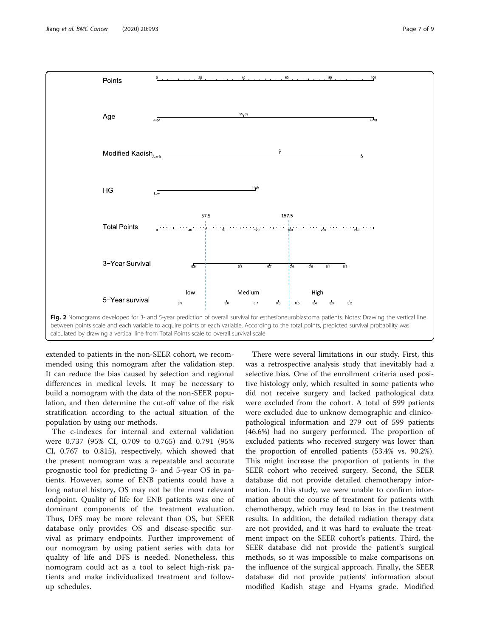<span id="page-6-0"></span>

extended to patients in the non-SEER cohort, we recommended using this nomogram after the validation step. It can reduce the bias caused by selection and regional differences in medical levels. It may be necessary to build a nomogram with the data of the non-SEER population, and then determine the cut-off value of the risk stratification according to the actual situation of the population by using our methods.

The c-indexes for internal and external validation were 0.737 (95% CI, 0.709 to 0.765) and 0.791 (95% CI, 0.767 to 0.815), respectively, which showed that the present nomogram was a repeatable and accurate prognostic tool for predicting 3- and 5-year OS in patients. However, some of ENB patients could have a long naturel history, OS may not be the most relevant endpoint. Quality of life for ENB patients was one of dominant components of the treatment evaluation. Thus, DFS may be more relevant than OS, but SEER database only provides OS and disease-specific survival as primary endpoints. Further improvement of our nomogram by using patient series with data for quality of life and DFS is needed. Nonetheless, this nomogram could act as a tool to select high-risk patients and make individualized treatment and followup schedules.

There were several limitations in our study. First, this was a retrospective analysis study that inevitably had a selective bias. One of the enrollment criteria used positive histology only, which resulted in some patients who did not receive surgery and lacked pathological data were excluded from the cohort. A total of 599 patients were excluded due to unknow demographic and clinicopathological information and 279 out of 599 patients (46.6%) had no surgery performed. The proportion of excluded patients who received surgery was lower than the proportion of enrolled patients (53.4% vs. 90.2%). This might increase the proportion of patients in the SEER cohort who received surgery. Second, the SEER database did not provide detailed chemotherapy information. In this study, we were unable to confirm information about the course of treatment for patients with chemotherapy, which may lead to bias in the treatment results. In addition, the detailed radiation therapy data are not provided, and it was hard to evaluate the treatment impact on the SEER cohort's patients. Third, the SEER database did not provide the patient's surgical methods, so it was impossible to make comparisons on the influence of the surgical approach. Finally, the SEER database did not provide patients' information about modified Kadish stage and Hyams grade. Modified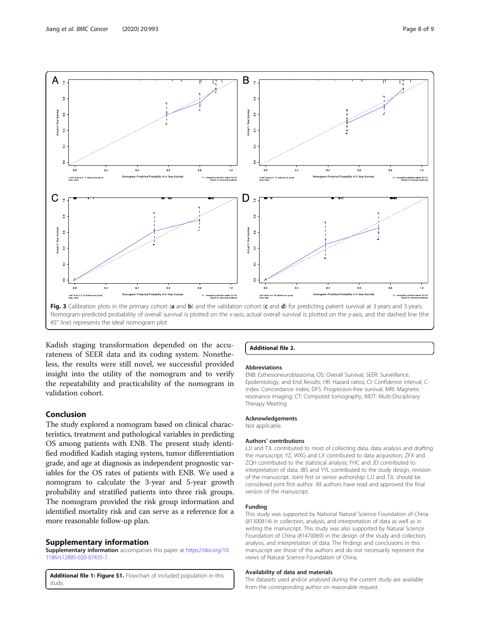<span id="page-7-0"></span>

45° line) represents the ideal nomogram plot

Kadish staging transformation depended on the accurateness of SEER data and its coding system. Nonetheless, the results were still novel, we successful provided insight into the utility of the nomogram and to verify the repeatability and practicability of the nomogram in validation cohort.

#### Conclusion

The study explored a nomogram based on clinical characteristics, treatment and pathological variables in predicting OS among patients with ENB. The present study identified modified Kadish staging system, tumor differentiation grade, and age at diagnosis as independent prognostic variables for the OS rates of patients with ENB. We used a nomogram to calculate the 3-year and 5-year growth probability and stratified patients into three risk groups. The nomogram provided the risk group information and identified mortality risk and can serve as a reference for a more reasonable follow-up plan.

#### Supplementary information

Supplementary information accompanies this paper at [https://doi.org/10.](https://doi.org/10.1186/s12885-020-07435-7) [1186/s12885-020-07435-7](https://doi.org/10.1186/s12885-020-07435-7).

Additional file 1: Figure S1. Flowchart of included population in this study.

#### Additional file 2.

#### Abbreviations

ENB: Esthesioneuroblastoma; OS: Overall Survival; SEER: Surveillance, Epidemiology, and End Results; HR: Hazard ratios; CI: Confidence interval; Cindex: Concordance index; DFS: Progression-free survival; MRI: Magnetic resonance imaging; CT: Computed tomography; MDT: Multi-Disciplinary Therapy Meeting

#### Acknowledgements

Not applicable.

#### Authors' contributions

LJJ and TJL contributed to most of collecting data, data analysis and drafting the manuscript; YZ, WXG and LX contributed to data acquisition; ZFX and ZQH contributed to the statistical analysis; FHC and JD contributed to interpretation of data; JBS and YYL contributed to the study design, revision of the manuscript. Joint first or senior authorship: LJJ and TJL should be considered joint first author. All authors have read and approved the final version of the manuscript.

#### Funding

This study was supported by National Natural Science Foundation of China (81300814) in collection, analysis, and interpretation of data as well as in writing the manuscript. This study was also supported by Natural Science Foundation of China (81470069) in the design of the study and collection, analysis, and interpretation of data. The findings and conclusions in this manuscript are those of the authors and do not necessarily represent the views of Natural Science Foundation of China.

#### Availability of data and materials

The datasets used and/or analysed during the current study are available from the corresponding author on reasonable request.